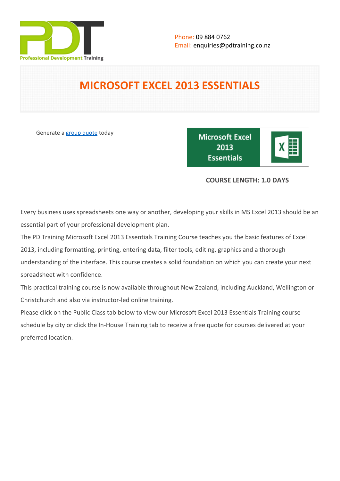

# **MICROSOFT EXCEL 2013 ESSENTIALS**

Generate a [group quote](https://pdtraining.co.nz/inhouse-training-quote?cse=PDT9050CTM) today

**Microsoft Excel** 2013 **Essentials** 

|--|

# **COURSE LENGTH: 1.0 DAYS**

Every business uses spreadsheets one way or another, developing your skills in MS Excel 2013 should be an essential part of your professional development plan.

The PD Training Microsoft Excel 2013 Essentials Training Course teaches you the basic features of Excel 2013, including formatting, printing, entering data, filter tools, editing, graphics and a thorough understanding of the interface. This course creates a solid foundation on which you can create your next spreadsheet with confidence.

This practical training course is now available throughout New Zealand, including Auckland, Wellington or Christchurch and also via instructor-led online training.

Please click on the Public Class tab below to view our Microsoft Excel 2013 Essentials Training course schedule by city or click the In-House Training tab to receive a free quote for courses delivered at your preferred location.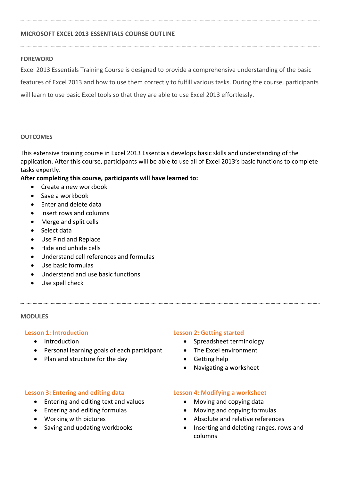#### **MICROSOFT EXCEL 2013 ESSENTIALS COURSE OUTLINE**

#### **FOREWORD**

Excel 2013 Essentials Training Course is designed to provide a comprehensive understanding of the basic features of Excel 2013 and how to use them correctly to fulfill various tasks. During the course, participants will learn to use basic Excel tools so that they are able to use Excel 2013 effortlessly.

#### **OUTCOMES**

This extensive training course in Excel 2013 Essentials develops basic skills and understanding of the application. After this course, participants will be able to use all of Excel 2013's basic functions to complete tasks expertly.

### **After completing this course, participants will have learned to:**

- Create a new workbook
- Save a workbook
- **•** Fnter and delete data
- Insert rows and columns
- Merge and split cells
- Select data
- Use Find and Replace
- $\bullet$  Hide and unhide cells
- Understand cell references and formulas
- Use basic formulas
- Understand and use basic functions
- Use spell check

#### **MODULES**

#### **Lesson 1: Introduction**

- Introduction
- Personal learning goals of each participant
- Plan and structure for the day

#### **Lesson 3: Entering and editing data**

- Entering and editing text and values
- Entering and editing formulas
- Working with pictures
- Saving and updating workbooks

#### **Lesson 2: Getting started**

- Spreadsheet terminology
- The Excel environment
- Getting help
- Navigating a worksheet

#### **Lesson 4: Modifying a worksheet**

- Moving and copying data
- Moving and copying formulas
- Absolute and relative references
- Inserting and deleting ranges, rows and columns